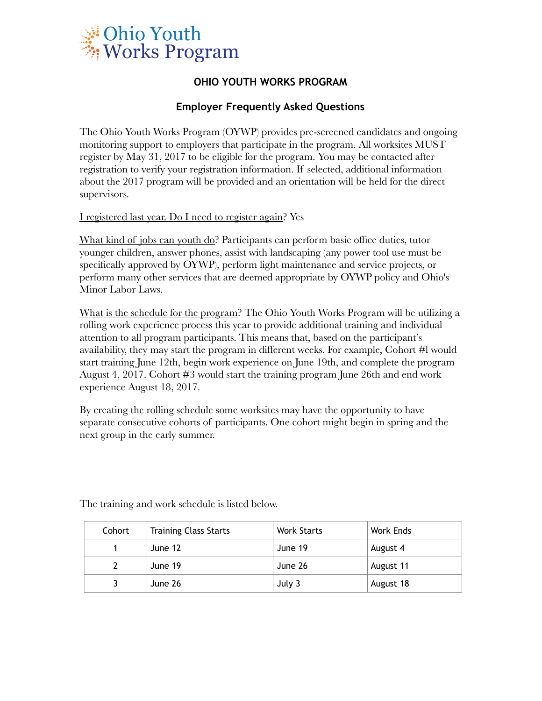

## **OHIO YOUTH WORKS PROGRAM**

## **Employer Frequently Asked Questions**

The Ohio Youth Works Program (OYWP) provides pre-screened candidates and ongoing monitoring support to employers that participate in the program. All worksites MUST register by May 31, 2017 to be eligible for the program. You may be contacted after registration to verify your registration information. If selected, additional information about the 2017 program will be provided and an orientation will be held for the direct supervisors.

I registered last year. Do I need to register again? Yes

What kind of jobs can youth do? Participants can perform basic office duties, tutor younger children, answer phones, assist with landscaping (any power tool use must be specifically approved by OYWP), perform light maintenance and service projects, or perform many other services that are deemed appropriate by OYWP policy and Ohio's Minor Labor Laws.

What is the schedule for the program? The Ohio Youth Works Program will be utilizing a rolling work experience process this year to provide additional training and individual attention to all program participants. This means that, based on the participant's availability, they may start the program in different weeks. For example, Cohort #l would start training June 12th, begin work experience on June 19th, and complete the program August 4, 2017. Cohort #3 would start the training program June 26th and end work experience August 18, 2017.

By creating the rolling schedule some worksites may have the opportunity to have separate consecutive cohorts of participants. One cohort might begin in spring and the next group in the early summer.

| Cohort | <b>Training Class Starts</b> | <b>Work Starts</b> | Work Ends |
|--------|------------------------------|--------------------|-----------|
|        | June 12                      | June 19            | August 4  |
|        | June 19                      | June 26            | August 11 |
|        | June 26                      | July $3$           | August 18 |

The training and work schedule is listed below.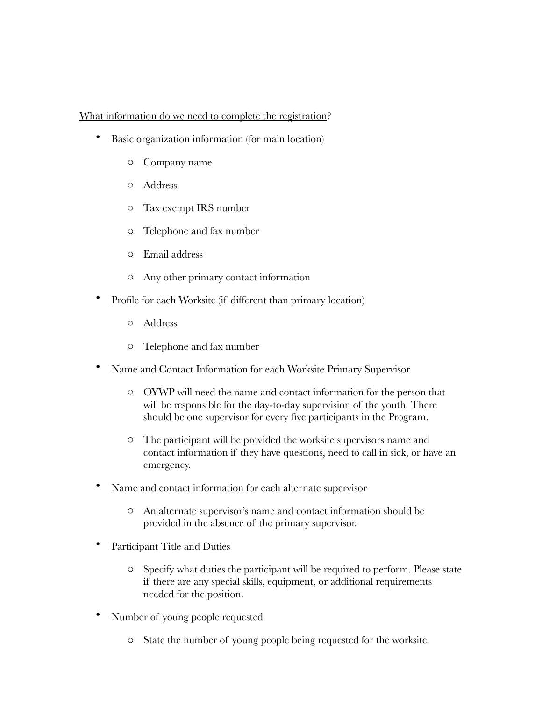## What information do we need to complete the registration?

- Basic organization information (for main location)
	- o Company name
	- o Address
	- o Tax exempt IRS number
	- o Telephone and fax number
	- o Email address
	- o Any other primary contact information
- Profile for each Worksite (if different than primary location)
	- o Address
	- o Telephone and fax number
- Name and Contact Information for each Worksite Primary Supervisor
	- o OYWP will need the name and contact information for the person that will be responsible for the day-to-day supervision of the youth. There should be one supervisor for every five participants in the Program.
	- o The participant will be provided the worksite supervisors name and contact information if they have questions, need to call in sick, or have an emergency.
- Name and contact information for each alternate supervisor
	- o An alternate supervisor's name and contact information should be provided in the absence of the primary supervisor.
- Participant Title and Duties
	- o Specify what duties the participant will be required to perform. Please state if there are any special skills, equipment, or additional requirements needed for the position.
- Number of young people requested
	- o State the number of young people being requested for the worksite.